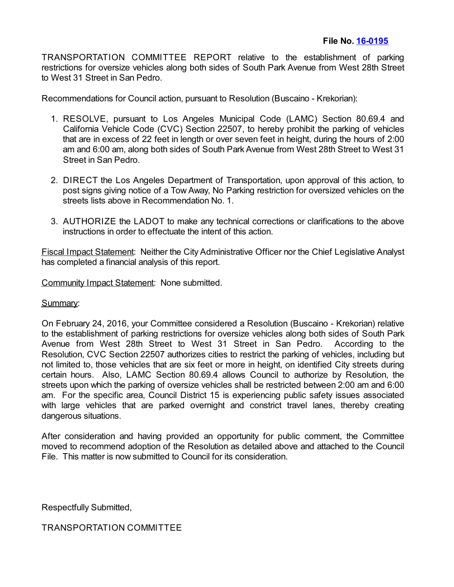TRANSPORTATION COMMITTEE REPORT relative to the establishment of parking restrictions for oversize vehicles along both sides of South Park Avenue from West 28th Street to West 31 Street in San Pedro.

Recommendations for Council action, pursuant to Resolution (Buscaino - Krekorian):

- 1. RESOLVE, pursuant to Los Angeles Municipal Code (LAMC) Section 80.69.4 and California Vehicle Code (CVC) Section 22507, to hereby prohibit the parking of vehicles that are in excess of 22 feet in length or over seven feet in height, during the hours of 2:00 am and 6:00 am, along both sides of South Park Avenue from West 28th Street to West 31 Street in San Pedro.
- 2. DIRECT the Los Angeles Department of Transportation, upon approval of this action, to post signs giving notice of a Tow Away, No Parking restriction for oversized vehicles on the streets lists above in Recommendation No. 1.
- 3. AUTHORIZE the LADOT to make any technical corrections or clarifications to the above instructions in order to effectuate the intent of this action.

Fiscal Impact Statement: Neither the City Administrative Officer nor the Chief Legislative Analyst has completed a financial analysis of this report.

Community Impact Statement: None submitted.

Summary:

On February 24, 2016, your Committee considered a Resolution (Buscaino - Krekorian) relative to the establishment of parking restrictions for oversize vehicles along both sides of South Park Avenue from West 28th Street to West 31 Street in San Pedro. According to the Resolution, CVC Section 22507 authorizes cities to restrict the parking of vehicles, including but not limited to, those vehicles that are six feet or more in height, on identified City streets during certain hours. Also, LAMC Section 80.69.4 allows Council to authorize by Resolution, the streets upon which the parking of oversize vehicles shall be restricted between 2:00 am and 6:00 am. For the specific area, Council District 15 is experiencing public safety issues associated with large vehicles that are parked overnight and constrict travel lanes, thereby creating dangerous situations.

After consideration and having provided an opportunity for public comment, the Committee moved to recommend adoption of the Resolution as detailed above and attached to the Council File. This matter is now submitted to Council for its consideration.

Respectfully Submitted,

TRANSPORTATION COMMITTEE